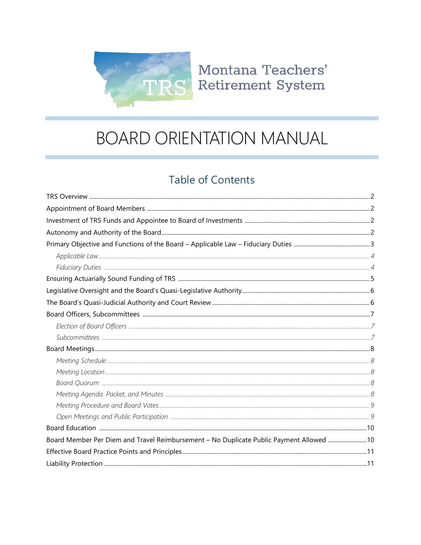

# **BOARD ORIENTATION MANUAL**

## **Table of Contents**

| Board Member Per Diem and Travel Reimbursement - No Duplicate Public Payment Allowed 10 |  |
|-----------------------------------------------------------------------------------------|--|
|                                                                                         |  |
|                                                                                         |  |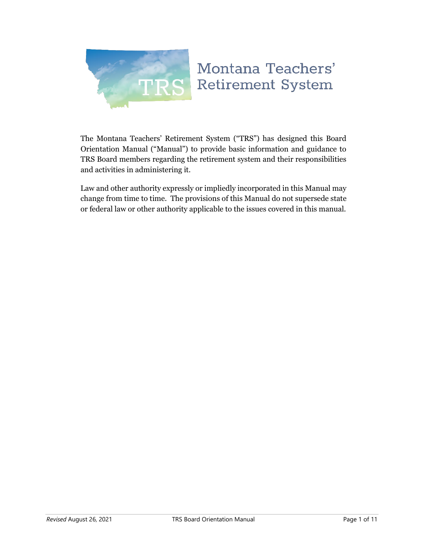

## <span id="page-1-0"></span>Montana Teachers' **Retirement System**

The Montana Teachers' Retirement System ("TRS") has designed this Board Orientation Manual ("Manual") to provide basic information and guidance to TRS Board members regarding the retirement system and their responsibilities and activities in administering it.

Law and other authority expressly or impliedly incorporated in this Manual may change from time to time. The provisions of this Manual do not supersede state or federal law or other authority applicable to the issues covered in this manual.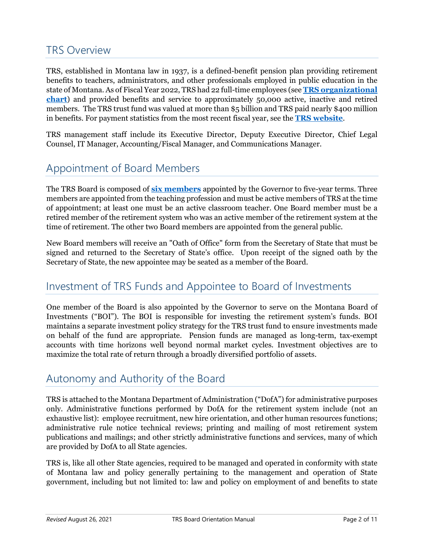## TRS Overview

TRS, established in Montana law in 1937, is a defined-benefit pension plan providing retirement benefits to teachers, administrators, and other professionals employed in public education in the state of Montana. As of Fiscal Year 2022, TRS had 22 full-time employees (see **[TRS organizational](https://trs.mt.gov/miscellaneous/PdfFiles/Information/AboutTRS/TRS_Org_Chart.pdf)  [chart](https://trs.mt.gov/miscellaneous/PdfFiles/Information/AboutTRS/TRS_Org_Chart.pdf)**) and provided benefits and service to approximately 50,000 active, inactive and retired members. The TRS trust fund was valued at more than \$5 billion and TRS paid nearly \$400 million in benefits. For payment statistics from the most recent fiscal year, see the **[TRS website](https://trs.mt.gov/)**.

TRS management staff include its Executive Director, Deputy Executive Director, Chief Legal Counsel, IT Manager, Accounting/Fiscal Manager, and Communications Manager.

## <span id="page-2-0"></span>Appointment of Board Members

The TRS Board is composed of **[six members](https://trs.mt.gov/trs-info/board)** appointed by the Governor to five-year terms. Three members are appointed from the teaching profession and must be active members of TRS at the time of appointment; at least one must be an active classroom teacher. One Board member must be a retired member of the retirement system who was an active member of the retirement system at the time of retirement. The other two Board members are appointed from the general public.

New Board members will receive an "Oath of Office" form from the Secretary of State that must be signed and returned to the Secretary of State's office. Upon receipt of the signed oath by the Secretary of State, the new appointee may be seated as a member of the Board.

## <span id="page-2-1"></span>Investment of TRS Funds and Appointee to Board of Investments

One member of the Board is also appointed by the Governor to serve on the Montana Board of Investments ("BOI"). The BOI is responsible for investing the retirement system's funds. BOI maintains a separate investment policy strategy for the TRS trust fund to ensure investments made on behalf of the fund are appropriate. Pension funds are managed as long-term, tax-exempt accounts with time horizons well beyond normal market cycles. Investment objectives are to maximize the total rate of return through a broadly diversified portfolio of assets.

## <span id="page-2-2"></span>Autonomy and Authority of the Board

TRS is attached to the Montana Department of Administration ("DofA") for administrative purposes only. Administrative functions performed by DofA for the retirement system include (not an exhaustive list): employee recruitment, new hire orientation, and other human resources functions; administrative rule notice technical reviews; printing and mailing of most retirement system publications and mailings; and other strictly administrative functions and services, many of which are provided by DofA to all State agencies.

TRS is, like all other State agencies, required to be managed and operated in conformity with state of Montana law and policy generally pertaining to the management and operation of State government, including but not limited to: law and policy on employment of and benefits to state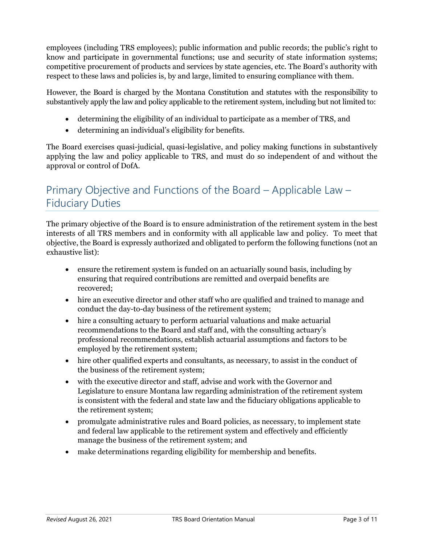employees (including TRS employees); public information and public records; the public's right to know and participate in governmental functions; use and security of state information systems; competitive procurement of products and services by state agencies, etc. The Board's authority with respect to these laws and policies is, by and large, limited to ensuring compliance with them.

However, the Board is charged by the Montana Constitution and statutes with the responsibility to substantively apply the law and policy applicable to the retirement system, including but not limited to:

- determining the eligibility of an individual to participate as a member of TRS, and
- determining an individual's eligibility for benefits.

The Board exercises quasi-judicial, quasi-legislative, and policy making functions in substantively applying the law and policy applicable to TRS, and must do so independent of and without the approval or control of DofA.

## <span id="page-3-0"></span>Primary Objective and Functions of the Board – Applicable Law – Fiduciary Duties

The primary objective of the Board is to ensure administration of the retirement system in the best interests of all TRS members and in conformity with all applicable law and policy. To meet that objective, the Board is expressly authorized and obligated to perform the following functions (not an exhaustive list):

- ensure the retirement system is funded on an actuarially sound basis, including by ensuring that required contributions are remitted and overpaid benefits are recovered;
- hire an executive director and other staff who are qualified and trained to manage and conduct the day-to-day business of the retirement system;
- hire a consulting actuary to perform actuarial valuations and make actuarial recommendations to the Board and staff and, with the consulting actuary's professional recommendations, establish actuarial assumptions and factors to be employed by the retirement system;
- hire other qualified experts and consultants, as necessary, to assist in the conduct of the business of the retirement system;
- with the executive director and staff, advise and work with the Governor and Legislature to ensure Montana law regarding administration of the retirement system is consistent with the federal and state law and the fiduciary obligations applicable to the retirement system;
- promulgate administrative rules and Board policies, as necessary, to implement state and federal law applicable to the retirement system and effectively and efficiently manage the business of the retirement system; and
- make determinations regarding eligibility for membership and benefits.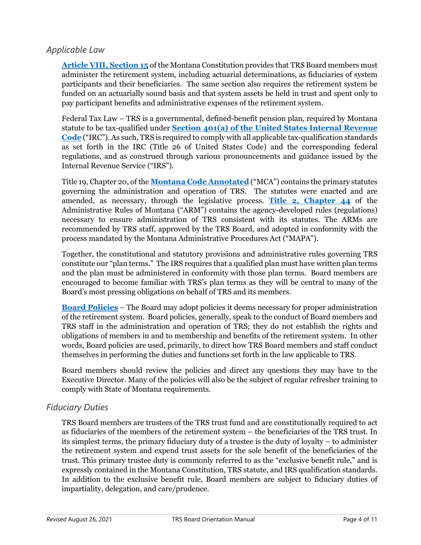#### <span id="page-4-0"></span>*Applicable Law*

**[Article VIII, Section 15](https://leg.mt.gov/bills/mca/title_0000/article_0080/part_0010/section_0150/0000-0080-0010-0150.html)** of the Montana Constitution provides that TRS Board members must administer the retirement system, including actuarial determinations, as fiduciaries of system participants and their beneficiaries. The same section also requires the retirement system be funded on an actuarially sound basis and that system assets be held in trust and spent only to pay participant benefits and administrative expenses of the retirement system.

Federal Tax Law – TRS is a governmental, defined-benefit pension plan, required by Montana statute to be tax-qualified under **[Section 401\(a\) of the United States Internal Revenue](https://uscode.house.gov/view.xhtml?req=(title:26%20section:401%20edition:prelim))  [Code](https://uscode.house.gov/view.xhtml?req=(title:26%20section:401%20edition:prelim))** ("IRC"). As such, TRS is required to comply with all applicable tax-qualification standards as set forth in the IRC (Title 26 of United States Code) and the corresponding federal regulations, and as construed through various pronouncements and guidance issued by the Internal Revenue Service ("IRS").

Title 19, Chapter 20, of the **[Montana Code Annotated](https://leg.mt.gov/bills/mca/index.html)** ("MCA") contains the primary statutes governing the administration and operation of TRS. The statutes were enacted and are amended, as necessary, through the legislative process. **[Title 2, Chapter 44](https://rules.mt.gov/gateway/ChapterHome.asp?Chapter=2%2E44)** of the [Administrative Rules of Montana \("ARM"\)](https://rules.mt.gov/gateway/ChapterHome.asp?Chapter=2%2E44) contains the agency-developed rules (regulations) necessary to ensure administration of TRS consistent with its statutes. The ARMs are recommended by TRS staff, approved by the TRS Board, and adopted in conformity with the process mandated by the Montana Administrative Procedures Act ("MAPA").

Together, the constitutional and statutory provisions and administrative rules governing TRS constitute our "plan terms." The IRS requires that a qualified plan must have written plan terms and the plan must be administered in conformity with those plan terms. Board members are encouraged to become familiar with TRS's plan terms as they will be central to many of the Board's most pressing obligations on behalf of TRS and its members.

**[Board Policies](https://trs.mt.gov/trsinfo/BoardPolicies)** – The Board may adopt policies it deems necessary for proper administration of the retirement system. Board policies, generally, speak to the conduct of Board members and TRS staff in the administration and operation of TRS; they do not establish the rights and obligations of members in and to membership and benefits of the retirement system. In other words, Board policies are used, primarily, to direct how TRS Board members and staff conduct themselves in performing the duties and functions set forth in the law applicable to TRS.

Board members should review the policies and direct any questions they may have to the Executive Director. Many of the policies will also be the subject of regular refresher training to comply with State of Montana requirements.

#### <span id="page-4-1"></span>*Fiduciary Duties*

TRS Board members are trustees of the TRS trust fund and are constitutionally required to act as fiduciaries of the members of the retirement system – the beneficiaries of the TRS trust. In its simplest terms, the primary fiduciary duty of a trustee is the duty of loyalty – to administer the retirement system and expend trust assets for the sole benefit of the beneficiaries of the trust. This primary trustee duty is commonly referred to as the "exclusive benefit rule," and is expressly contained in the Montana Constitution, TRS statute, and IRS qualification standards. In addition to the exclusive benefit rule, Board members are subject to fiduciary duties of impartiality, delegation, and care/prudence.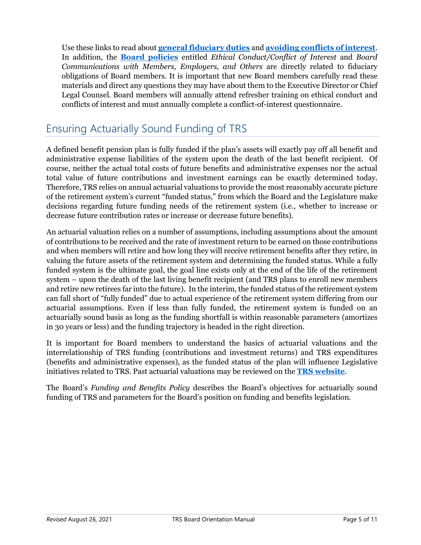Use these links to read about **[general fiduciary duties](https://trs.mt.gov/miscellaneous/PdfFiles/Board/FIDUCIARY_DUTIES_General.pdf)** and **avoiding [conflicts of interest](https://trs.mt.gov/miscellaneous/PdfFiles/Board/FIDUCIARY_DUTIES_Conflicts.pdf)**. In addition, the **[Board policies](https://trs.mt.gov/trsinfo/BoardPolicies)** entitled *Ethical Conduct/Conflict of Interest* and *Board Communications with Members, Employers, and Others* are directly related to fiduciary obligations of Board members. It is important that new Board members carefully read these materials and direct any questions they may have about them to the Executive Director or Chief Legal Counsel. Board members will annually attend refresher training on ethical conduct and conflicts of interest and must annually complete a conflict-of-interest questionnaire.

## <span id="page-5-0"></span>Ensuring Actuarially Sound Funding of TRS

A defined benefit pension plan is fully funded if the plan's assets will exactly pay off all benefit and administrative expense liabilities of the system upon the death of the last benefit recipient. Of course, neither the actual total costs of future benefits and administrative expenses nor the actual total value of future contributions and investment earnings can be exactly determined today. Therefore, TRS relies on annual actuarial valuations to provide the most reasonably accurate picture of the retirement system's current "funded status," from which the Board and the Legislature make decisions regarding future funding needs of the retirement system (i.e., whether to increase or decrease future contribution rates or increase or decrease future benefits).

An actuarial valuation relies on a number of assumptions, including assumptions about the amount of contributions to be received and the rate of investment return to be earned on those contributions and when members will retire and how long they will receive retirement benefits after they retire, in valuing the future assets of the retirement system and determining the funded status. While a fully funded system is the ultimate goal, the goal line exists only at the end of the life of the retirement system – upon the death of the last living benefit recipient (and TRS plans to enroll new members and retire new retirees far into the future). In the interim, the funded status of the retirement system can fall short of "fully funded" due to actual experience of the retirement system differing from our actuarial assumptions. Even if less than fully funded, the retirement system is funded on an actuarially sound basis as long as the funding shortfall is within reasonable parameters (amortizes in 30 years or less) and the funding trajectory is headed in the right direction.

It is important for Board members to understand the basics of actuarial valuations and the interrelationship of TRS funding (contributions and investment returns) and TRS expenditures (benefits and administrative expenses), as the funded status of the plan will influence Legislative initiatives related to TRS. Past actuarial valuations may be reviewed on the **[TRS website](https://trs.mt.gov/TrsInfo/NewsAnnualReports)**.

<span id="page-5-1"></span>The Board's *Funding and Benefits Policy* describes the Board's objectives for actuarially sound funding of TRS and parameters for the Board's position on funding and benefits legislation.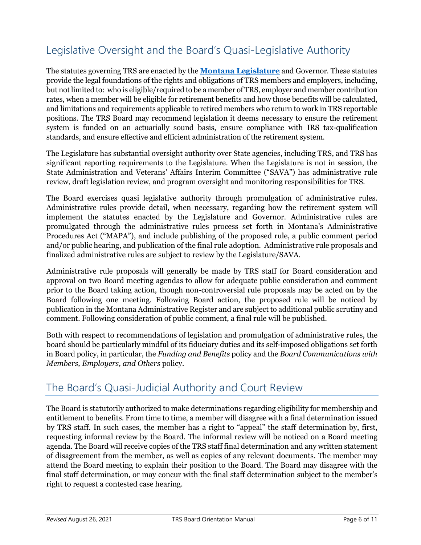## Legislative Oversight and the Board's Quasi-Legislative Authority

The statutes governing TRS are enacted by the **[Montana Legislature](https://leg.mt.gov/)** and Governor. These statutes provide the legal foundations of the rights and obligations of TRS members and employers, including, but not limited to: who is eligible/required to be a member of TRS, employer and member contribution rates, when a member will be eligible for retirement benefits and how those benefits will be calculated, and limitations and requirements applicable to retired members who return to work in TRS reportable positions. The TRS Board may recommend legislation it deems necessary to ensure the retirement system is funded on an actuarially sound basis, ensure compliance with IRS tax-qualification standards, and ensure effective and efficient administration of the retirement system.

The Legislature has substantial oversight authority over State agencies, including TRS, and TRS has significant reporting requirements to the Legislature. When the Legislature is not in session, the State Administration and Veterans' Affairs Interim Committee ("SAVA") has administrative rule review, draft legislation review, and program oversight and monitoring responsibilities for TRS.

The Board exercises quasi legislative authority through promulgation of administrative rules. Administrative rules provide detail, when necessary, regarding how the retirement system will implement the statutes enacted by the Legislature and Governor. Administrative rules are promulgated through the administrative rules process set forth in Montana's Administrative Procedures Act ("MAPA"), and include publishing of the proposed rule, a public comment period and/or public hearing, and publication of the final rule adoption. Administrative rule proposals and finalized administrative rules are subject to review by the Legislature/SAVA.

Administrative rule proposals will generally be made by TRS staff for Board consideration and approval on two Board meeting agendas to allow for adequate public consideration and comment prior to the Board taking action, though non-controversial rule proposals may be acted on by the Board following one meeting. Following Board action, the proposed rule will be noticed by publication in the Montana Administrative Register and are subject to additional public scrutiny and comment. Following consideration of public comment, a final rule will be published.

Both with respect to recommendations of legislation and promulgation of administrative rules, the board should be particularly mindful of its fiduciary duties and its self-imposed obligations set forth in Board policy, in particular, the *Funding and Benefits* policy and the *Board Communications with Members, Employers, and Others* policy.

## <span id="page-6-0"></span>The Board's Quasi-Judicial Authority and Court Review

The Board is statutorily authorized to make determinations regarding eligibility for membership and entitlement to benefits. From time to time, a member will disagree with a final determination issued by TRS staff. In such cases, the member has a right to "appeal" the staff determination by, first, requesting informal review by the Board. The informal review will be noticed on a Board meeting agenda. The Board will receive copies of the TRS staff final determination and any written statement of disagreement from the member, as well as copies of any relevant documents. The member may attend the Board meeting to explain their position to the Board. The Board may disagree with the final staff determination, or may concur with the final staff determination subject to the member's right to request a contested case hearing.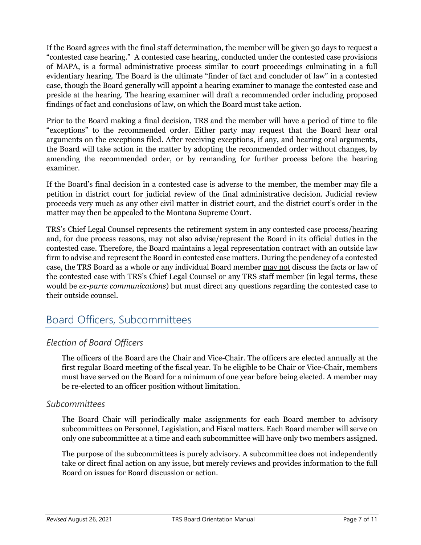If the Board agrees with the final staff determination, the member will be given 30 days to request a "contested case hearing." A contested case hearing, conducted under the contested case provisions of MAPA, is a formal administrative process similar to court proceedings culminating in a full evidentiary hearing. The Board is the ultimate "finder of fact and concluder of law" in a contested case, though the Board generally will appoint a hearing examiner to manage the contested case and preside at the hearing. The hearing examiner will draft a recommended order including proposed findings of fact and conclusions of law, on which the Board must take action.

Prior to the Board making a final decision, TRS and the member will have a period of time to file "exceptions" to the recommended order. Either party may request that the Board hear oral arguments on the exceptions filed. After receiving exceptions, if any, and hearing oral arguments, the Board will take action in the matter by adopting the recommended order without changes, by amending the recommended order, or by remanding for further process before the hearing examiner.

If the Board's final decision in a contested case is adverse to the member, the member may file a petition in district court for judicial review of the final administrative decision. Judicial review proceeds very much as any other civil matter in district court, and the district court's order in the matter may then be appealed to the Montana Supreme Court.

TRS's Chief Legal Counsel represents the retirement system in any contested case process/hearing and, for due process reasons, may not also advise/represent the Board in its official duties in the contested case. Therefore, the Board maintains a legal representation contract with an outside law firm to advise and represent the Board in contested case matters. During the pendency of a contested case, the TRS Board as a whole or any individual Board member may not discuss the facts or law of the contested case with TRS's Chief Legal Counsel or any TRS staff member (in legal terms, these would be *ex-parte communications*) but must direct any questions regarding the contested case to their outside counsel.

## <span id="page-7-0"></span>Board Officers, Subcommittees

#### <span id="page-7-1"></span>*Election of Board Officers*

The officers of the Board are the Chair and Vice-Chair. The officers are elected annually at the first regular Board meeting of the fiscal year. To be eligible to be Chair or Vice-Chair, members must have served on the Board for a minimum of one year before being elected. A member may be re-elected to an officer position without limitation.

#### <span id="page-7-2"></span>*Subcommittees*

The Board Chair will periodically make assignments for each Board member to advisory subcommittees on Personnel, Legislation, and Fiscal matters. Each Board member will serve on only one subcommittee at a time and each subcommittee will have only two members assigned.

The purpose of the subcommittees is purely advisory. A subcommittee does not independently take or direct final action on any issue, but merely reviews and provides information to the full Board on issues for Board discussion or action.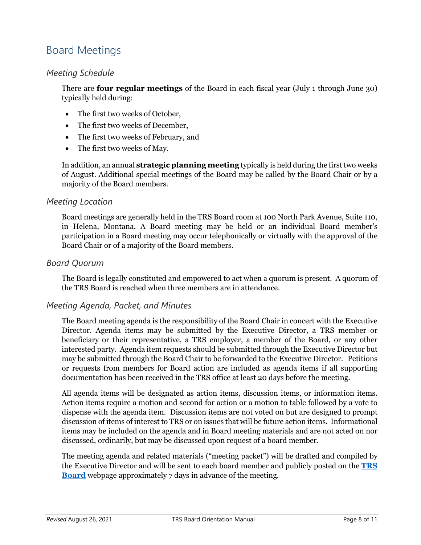## <span id="page-8-0"></span>Board Meetings

#### <span id="page-8-1"></span>*Meeting Schedule*

There are **four regular meetings** of the Board in each fiscal year (July 1 through June 30) typically held during:

- The first two weeks of October,
- The first two weeks of December,
- The first two weeks of February, and
- The first two weeks of May.

In addition, an annual **strategic planning meeting** typically is held during the first two weeks of August. Additional special meetings of the Board may be called by the Board Chair or by a majority of the Board members.

#### <span id="page-8-2"></span>*Meeting Location*

Board meetings are generally held in the TRS Board room at 100 North Park Avenue, Suite 110, in Helena, Montana. A Board meeting may be held or an individual Board member's participation in a Board meeting may occur telephonically or virtually with the approval of the Board Chair or of a majority of the Board members.

#### <span id="page-8-3"></span>*Board Quorum*

The Board is legally constituted and empowered to act when a quorum is present. A quorum of the TRS Board is reached when three members are in attendance.

#### <span id="page-8-4"></span>*Meeting Agenda, Packet, and Minutes*

The Board meeting agenda is the responsibility of the Board Chair in concert with the Executive Director. Agenda items may be submitted by the Executive Director, a TRS member or beneficiary or their representative, a TRS employer, a member of the Board, or any other interested party. Agenda item requests should be submitted through the Executive Director but may be submitted through the Board Chair to be forwarded to the Executive Director. Petitions or requests from members for Board action are included as agenda items if all supporting documentation has been received in the TRS office at least 20 days before the meeting.

All agenda items will be designated as action items, discussion items, or information items. Action items require a motion and second for action or a motion to table followed by a vote to dispense with the agenda item. Discussion items are not voted on but are designed to prompt discussion of items of interest to TRS or on issues that will be future action items. Informational items may be included on the agenda and in Board meeting materials and are not acted on nor discussed, ordinarily, but may be discussed upon request of a board member.

The meeting agenda and related materials ("meeting packet") will be drafted and compiled by the Executive Director and will be sent to each board member and publicly posted on the **[TRS](https://trs.mt.gov/trs-info/board)  [Board](https://trs.mt.gov/trs-info/board)** webpage approximately 7 days in advance of the meeting.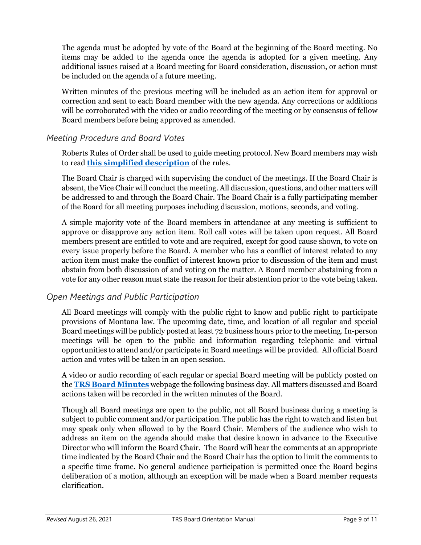The agenda must be adopted by vote of the Board at the beginning of the Board meeting. No items may be added to the agenda once the agenda is adopted for a given meeting. Any additional issues raised at a Board meeting for Board consideration, discussion, or action must be included on the agenda of a future meeting.

Written minutes of the previous meeting will be included as an action item for approval or correction and sent to each Board member with the new agenda. Any corrections or additions will be corroborated with the video or audio recording of the meeting or by consensus of fellow Board members before being approved as amended.

#### <span id="page-9-0"></span>*Meeting Procedure and Board Votes*

Roberts Rules of Order shall be used to guide meeting protocol. New Board members may wish to read **[this simplified description](https://trs.mt.gov/miscellaneous/PdfFiles/Board/RobertsRulesSimplified.pdf)** of the rules.

The Board Chair is charged with supervising the conduct of the meetings. If the Board Chair is absent, the Vice Chair will conduct the meeting. All discussion, questions, and other matters will be addressed to and through the Board Chair. The Board Chair is a fully participating member of the Board for all meeting purposes including discussion, motions, seconds, and voting.

A simple majority vote of the Board members in attendance at any meeting is sufficient to approve or disapprove any action item. Roll call votes will be taken upon request. All Board members present are entitled to vote and are required, except for good cause shown, to vote on every issue properly before the Board. A member who has a conflict of interest related to any action item must make the conflict of interest known prior to discussion of the item and must abstain from both discussion of and voting on the matter. A Board member abstaining from a vote for any other reason must state the reason for their abstention prior to the vote being taken.

#### <span id="page-9-1"></span>*Open Meetings and Public Participation*

All Board meetings will comply with the public right to know and public right to participate provisions of Montana law. The upcoming date, time, and location of all regular and special Board meetings will be publicly posted at least 72 business hours prior to the meeting. In-person meetings will be open to the public and information regarding telephonic and virtual opportunities to attend and/or participate in Board meetings will be provided. All official Board action and votes will be taken in an open session.

A video or audio recording of each regular or special Board meeting will be publicly posted on the **[TRS Board Minutes](https://trs.mt.gov/trs-info/boardminutes)** webpage the following business day. All matters discussed and Board actions taken will be recorded in the written minutes of the Board.

Though all Board meetings are open to the public, not all Board business during a meeting is subject to public comment and/or participation. The public has the right to watch and listen but may speak only when allowed to by the Board Chair. Members of the audience who wish to address an item on the agenda should make that desire known in advance to the Executive Director who will inform the Board Chair. The Board will hear the comments at an appropriate time indicated by the Board Chair and the Board Chair has the option to limit the comments to a specific time frame. No general audience participation is permitted once the Board begins deliberation of a motion, although an exception will be made when a Board member requests clarification.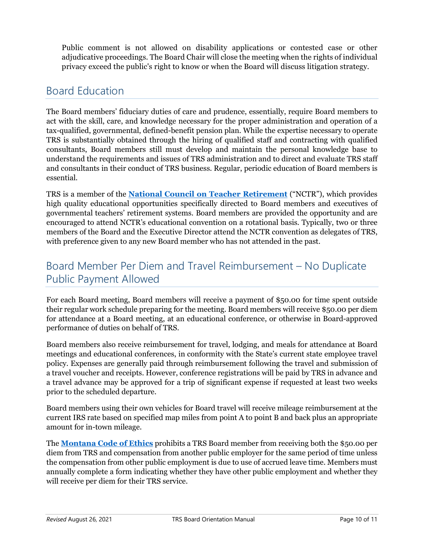Public comment is not allowed on disability applications or contested case or other adjudicative proceedings. The Board Chair will close the meeting when the rights of individual privacy exceed the public's right to know or when the Board will discuss litigation strategy.

## <span id="page-10-0"></span>Board Education

The Board members' fiduciary duties of care and prudence, essentially, require Board members to act with the skill, care, and knowledge necessary for the proper administration and operation of a tax-qualified, governmental, defined-benefit pension plan. While the expertise necessary to operate TRS is substantially obtained through the hiring of qualified staff and contracting with qualified consultants, Board members still must develop and maintain the personal knowledge base to understand the requirements and issues of TRS administration and to direct and evaluate TRS staff and consultants in their conduct of TRS business. Regular, periodic education of Board members is essential.

TRS is a member of the **[National Council on Teacher Retirement](https://nctr.org/)** ("NCTR"), which provides high quality educational opportunities specifically directed to Board members and executives of governmental teachers' retirement systems. Board members are provided the opportunity and are encouraged to attend NCTR's educational convention on a rotational basis. Typically, two or three members of the Board and the Executive Director attend the NCTR convention as delegates of TRS, with preference given to any new Board member who has not attended in the past.

## <span id="page-10-1"></span>Board Member Per Diem and Travel Reimbursement – No Duplicate Public Payment Allowed

For each Board meeting, Board members will receive a payment of \$50.00 for time spent outside their regular work schedule preparing for the meeting. Board members will receive \$50.00 per diem for attendance at a Board meeting, at an educational conference, or otherwise in Board-approved performance of duties on behalf of TRS.

Board members also receive reimbursement for travel, lodging, and meals for attendance at Board meetings and educational conferences, in conformity with the State's current state employee travel policy. Expenses are generally paid through reimbursement following the travel and submission of a travel voucher and receipts. However, conference registrations will be paid by TRS in advance and a travel advance may be approved for a trip of significant expense if requested at least two weeks prior to the scheduled departure.

Board members using their own vehicles for Board travel will receive mileage reimbursement at the current IRS rate based on specified map miles from point A to point B and back plus an appropriate amount for in-town mileage.

The **[Montana Code of Ethics](https://leg.mt.gov/bills/mca/title_0020/chapter_0020/part_0010/sections_index.html)** prohibits a TRS Board member from receiving both the \$50.00 per diem from TRS and compensation from another public employer for the same period of time unless the compensation from other public employment is due to use of accrued leave time. Members must annually complete a form indicating whether they have other public employment and whether they will receive per diem for their TRS service.